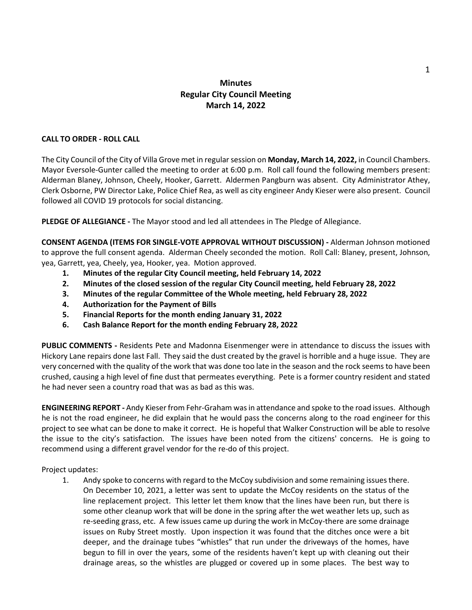# **Minutes Regular City Council Meeting March 14, 2022**

### **CALL TO ORDER - ROLL CALL**

The City Council of the City of Villa Grove met in regular session on **Monday, March 14, 2022,** in Council Chambers. Mayor Eversole-Gunter called the meeting to order at 6:00 p.m. Roll call found the following members present: Alderman Blaney, Johnson, Cheely, Hooker, Garrett. Aldermen Pangburn was absent. City Administrator Athey, Clerk Osborne, PW Director Lake, Police Chief Rea, as well as city engineer Andy Kieser were also present. Council followed all COVID 19 protocols for social distancing.

**PLEDGE OF ALLEGIANCE -** The Mayor stood and led all attendees in The Pledge of Allegiance.

**CONSENT AGENDA (ITEMS FOR SINGLE-VOTE APPROVAL WITHOUT DISCUSSION) -** Alderman Johnson motioned to approve the full consent agenda. Alderman Cheely seconded the motion. Roll Call: Blaney, present, Johnson, yea, Garrett, yea, Cheely, yea, Hooker, yea. Motion approved.

- **1. Minutes of the regular City Council meeting, held February 14, 2022**
- **2. Minutes of the closed session of the regular City Council meeting, held February 28, 2022**
- **3. Minutes of the regular Committee of the Whole meeting, held February 28, 2022**
- **4. Authorization for the Payment of Bills**
- **5. Financial Reports for the month ending January 31, 2022**
- **6. Cash Balance Report for the month ending February 28, 2022**

**PUBLIC COMMENTS -** Residents Pete and Madonna Eisenmenger were in attendance to discuss the issues with Hickory Lane repairs done last Fall. They said the dust created by the gravel is horrible and a huge issue. They are very concerned with the quality of the work that was done too late in the season and the rock seems to have been crushed, causing a high level of fine dust that permeates everything. Pete is a former country resident and stated he had never seen a country road that was as bad as this was.

**ENGINEERING REPORT -** Andy Kieser from Fehr-Graham was in attendance and spoke to the road issues. Although he is not the road engineer, he did explain that he would pass the concerns along to the road engineer for this project to see what can be done to make it correct. He is hopeful that Walker Construction will be able to resolve the issue to the city's satisfaction. The issues have been noted from the citizens' concerns. He is going to recommend using a different gravel vendor for the re-do of this project.

Project updates:

1. Andy spoke to concerns with regard to the McCoy subdivision and some remaining issues there. On December 10, 2021, a letter was sent to update the McCoy residents on the status of the line replacement project. This letter let them know that the lines have been run, but there is some other cleanup work that will be done in the spring after the wet weather lets up, such as re-seeding grass, etc. A few issues came up during the work in McCoy-there are some drainage issues on Ruby Street mostly. Upon inspection it was found that the ditches once were a bit deeper, and the drainage tubes "whistles" that run under the driveways of the homes, have begun to fill in over the years, some of the residents haven't kept up with cleaning out their drainage areas, so the whistles are plugged or covered up in some places. The best way to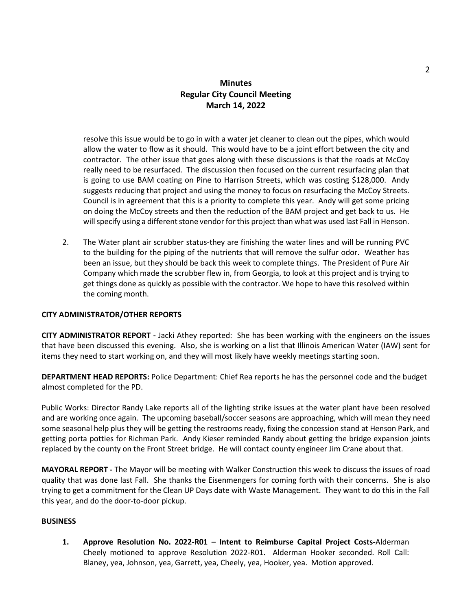# **Minutes Regular City Council Meeting March 14, 2022**

resolve this issue would be to go in with a water jet cleaner to clean out the pipes, which would allow the water to flow as it should. This would have to be a joint effort between the city and contractor. The other issue that goes along with these discussions is that the roads at McCoy really need to be resurfaced. The discussion then focused on the current resurfacing plan that is going to use BAM coating on Pine to Harrison Streets, which was costing \$128,000. Andy suggests reducing that project and using the money to focus on resurfacing the McCoy Streets. Council is in agreement that this is a priority to complete this year. Andy will get some pricing on doing the McCoy streets and then the reduction of the BAM project and get back to us. He will specify using a different stone vendor for this project than what was used last Fall in Henson.

2. The Water plant air scrubber status-they are finishing the water lines and will be running PVC to the building for the piping of the nutrients that will remove the sulfur odor. Weather has been an issue, but they should be back this week to complete things. The President of Pure Air Company which made the scrubber flew in, from Georgia, to look at this project and is trying to get things done as quickly as possible with the contractor. We hope to have this resolved within the coming month.

#### **CITY ADMINISTRATOR/OTHER REPORTS**

**CITY ADMINISTRATOR REPORT -** Jacki Athey reported: She has been working with the engineers on the issues that have been discussed this evening. Also, she is working on a list that Illinois American Water (IAW) sent for items they need to start working on, and they will most likely have weekly meetings starting soon.

**DEPARTMENT HEAD REPORTS:** Police Department: Chief Rea reports he has the personnel code and the budget almost completed for the PD.

Public Works: Director Randy Lake reports all of the lighting strike issues at the water plant have been resolved and are working once again. The upcoming baseball/soccer seasons are approaching, which will mean they need some seasonal help plus they will be getting the restrooms ready, fixing the concession stand at Henson Park, and getting porta potties for Richman Park. Andy Kieser reminded Randy about getting the bridge expansion joints replaced by the county on the Front Street bridge. He will contact county engineer Jim Crane about that.

**MAYORAL REPORT -** The Mayor will be meeting with Walker Construction this week to discuss the issues of road quality that was done last Fall. She thanks the Eisenmengers for coming forth with their concerns. She is also trying to get a commitment for the Clean UP Days date with Waste Management. They want to do this in the Fall this year, and do the door-to-door pickup.

#### **BUSINESS**

**1. Approve Resolution No. 2022-R01 – Intent to Reimburse Capital Project Costs-**Alderman Cheely motioned to approve Resolution 2022-R01. Alderman Hooker seconded. Roll Call: Blaney, yea, Johnson, yea, Garrett, yea, Cheely, yea, Hooker, yea. Motion approved.